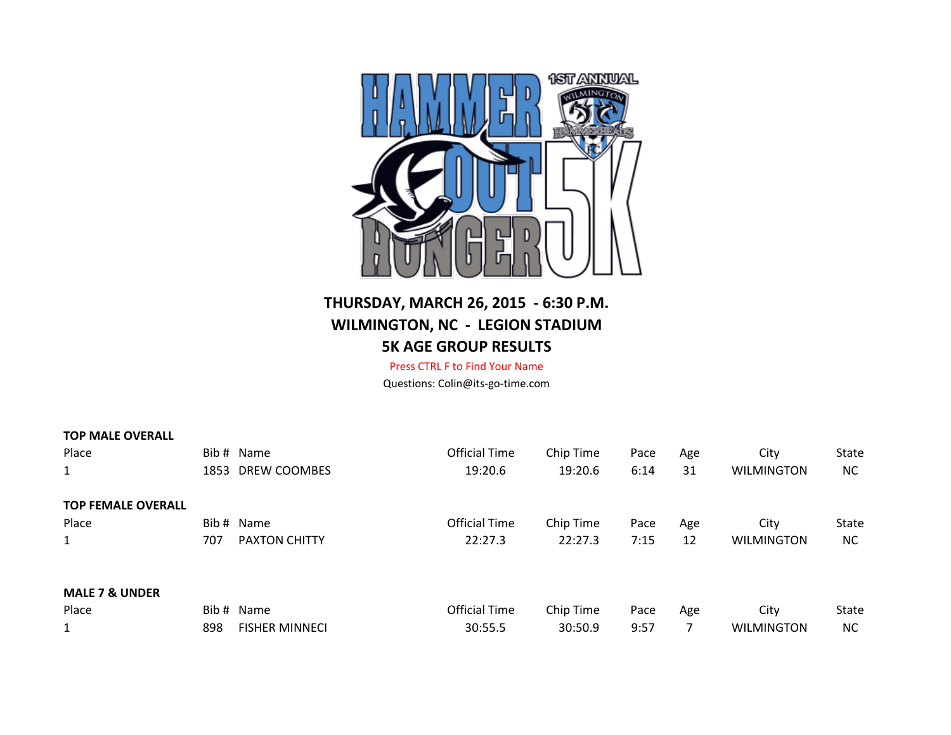

## **THURSDAY, MARCH 26, 2015 - 6:30 P.M. WILMINGTON, NC - LEGION STADIUM 5K AGE GROUP RESULTS**

Press CTRL F to Find Your Name Questions: Colin@its-go-time.com

| <b>TOP MALE OVERALL</b>   |     |                       |                      |           |      |     |                   |              |
|---------------------------|-----|-----------------------|----------------------|-----------|------|-----|-------------------|--------------|
| Place                     |     | Bib # Name            | <b>Official Time</b> | Chip Time | Pace | Age | City              | <b>State</b> |
| $\mathbf{1}$              |     | 1853 DREW COOMBES     | 19:20.6              | 19:20.6   | 6:14 | 31  | <b>WILMINGTON</b> | <b>NC</b>    |
| <b>TOP FEMALE OVERALL</b> |     |                       |                      |           |      |     |                   |              |
| Place                     |     | Bib # Name            | <b>Official Time</b> | Chip Time | Pace | Age | City              | <b>State</b> |
| $\mathbf{1}$              | 707 | <b>PAXTON CHITTY</b>  | 22:27.3              | 22:27.3   | 7:15 | 12  | <b>WILMINGTON</b> | <b>NC</b>    |
| <b>MALE 7 &amp; UNDER</b> |     |                       |                      |           |      |     |                   |              |
| Place                     |     | Bib # Name            | <b>Official Time</b> | Chip Time | Pace | Age | City              | <b>State</b> |
| $\mathbf{1}$              | 898 | <b>FISHER MINNECI</b> | 30:55.5              | 30:50.9   | 9:57 | 7   | <b>WILMINGTON</b> | <b>NC</b>    |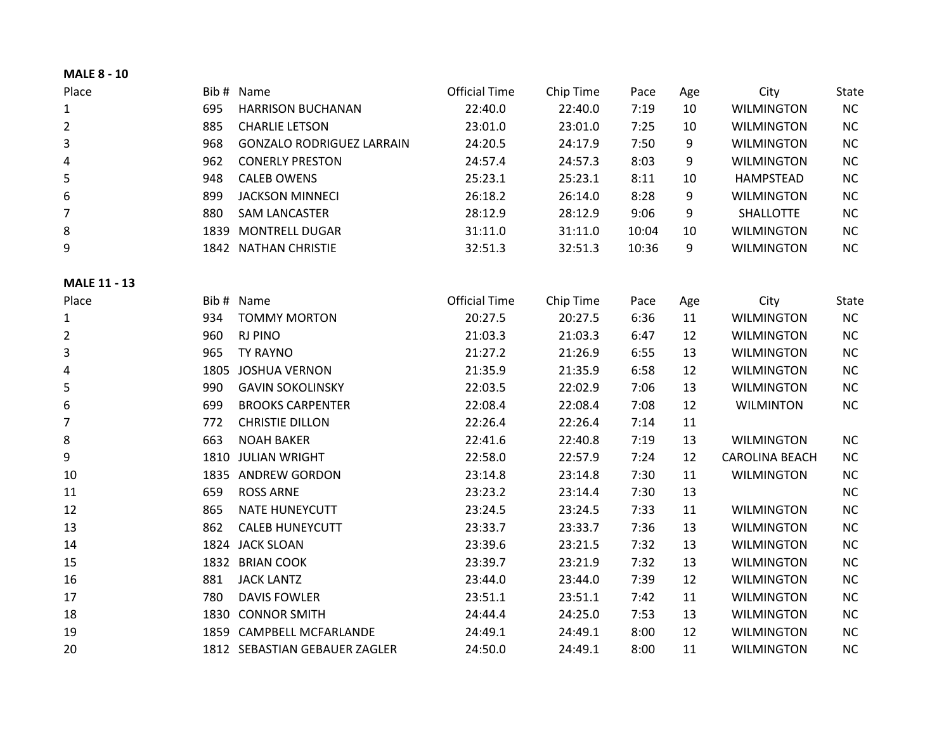| <b>MALE 8 - 10</b>  |      |                                  |                      |           |       |     |                       |              |
|---------------------|------|----------------------------------|----------------------|-----------|-------|-----|-----------------------|--------------|
| Place               |      | Bib # Name                       | <b>Official Time</b> | Chip Time | Pace  | Age | City                  | <b>State</b> |
| $\mathbf{1}$        | 695  | <b>HARRISON BUCHANAN</b>         | 22:40.0              | 22:40.0   | 7:19  | 10  | <b>WILMINGTON</b>     | <b>NC</b>    |
| $\overline{2}$      | 885  | <b>CHARLIE LETSON</b>            | 23:01.0              | 23:01.0   | 7:25  | 10  | <b>WILMINGTON</b>     | NC           |
| 3                   | 968  | <b>GONZALO RODRIGUEZ LARRAIN</b> | 24:20.5              | 24:17.9   | 7:50  | 9   | <b>WILMINGTON</b>     | NC           |
| 4                   | 962  | <b>CONERLY PRESTON</b>           | 24:57.4              | 24:57.3   | 8:03  | 9   | <b>WILMINGTON</b>     | NC           |
| 5                   | 948  | <b>CALEB OWENS</b>               | 25:23.1              | 25:23.1   | 8:11  | 10  | <b>HAMPSTEAD</b>      | <b>NC</b>    |
| 6                   | 899  | <b>JACKSON MINNECI</b>           | 26:18.2              | 26:14.0   | 8:28  | 9   | <b>WILMINGTON</b>     | <b>NC</b>    |
| $\overline{7}$      | 880  | <b>SAM LANCASTER</b>             | 28:12.9              | 28:12.9   | 9:06  | 9   | SHALLOTTE             | <b>NC</b>    |
| 8                   | 1839 | <b>MONTRELL DUGAR</b>            | 31:11.0              | 31:11.0   | 10:04 | 10  | <b>WILMINGTON</b>     | <b>NC</b>    |
| 9                   |      | 1842 NATHAN CHRISTIE             | 32:51.3              | 32:51.3   | 10:36 | 9   | <b>WILMINGTON</b>     | NC           |
| <b>MALE 11 - 13</b> |      |                                  |                      |           |       |     |                       |              |
| Place               |      | Bib # Name                       | <b>Official Time</b> | Chip Time | Pace  | Age | City                  | State        |
| $\mathbf{1}$        | 934  | <b>TOMMY MORTON</b>              | 20:27.5              | 20:27.5   | 6:36  | 11  | <b>WILMINGTON</b>     | NC           |
| $\overline{2}$      | 960  | <b>RJ PINO</b>                   | 21:03.3              | 21:03.3   | 6:47  | 12  | <b>WILMINGTON</b>     | <b>NC</b>    |
| 3                   | 965  | <b>TY RAYNO</b>                  | 21:27.2              | 21:26.9   | 6:55  | 13  | <b>WILMINGTON</b>     | NC           |
| 4                   | 1805 | <b>JOSHUA VERNON</b>             | 21:35.9              | 21:35.9   | 6:58  | 12  | <b>WILMINGTON</b>     | <b>NC</b>    |
| 5                   | 990  | <b>GAVIN SOKOLINSKY</b>          | 22:03.5              | 22:02.9   | 7:06  | 13  | <b>WILMINGTON</b>     | NC           |
| 6                   | 699  | <b>BROOKS CARPENTER</b>          | 22:08.4              | 22:08.4   | 7:08  | 12  | <b>WILMINTON</b>      | NC           |
| $\overline{7}$      | 772  | <b>CHRISTIE DILLON</b>           | 22:26.4              | 22:26.4   | 7:14  | 11  |                       |              |
| 8                   | 663  | <b>NOAH BAKER</b>                | 22:41.6              | 22:40.8   | 7:19  | 13  | <b>WILMINGTON</b>     | <b>NC</b>    |
| 9                   |      | 1810 JULIAN WRIGHT               | 22:58.0              | 22:57.9   | 7:24  | 12  | <b>CAROLINA BEACH</b> | <b>NC</b>    |
| 10                  |      | 1835 ANDREW GORDON               | 23:14.8              | 23:14.8   | 7:30  | 11  | <b>WILMINGTON</b>     | <b>NC</b>    |
| 11                  | 659  | <b>ROSS ARNE</b>                 | 23:23.2              | 23:14.4   | 7:30  | 13  |                       | <b>NC</b>    |
| 12                  | 865  | <b>NATE HUNEYCUTT</b>            | 23:24.5              | 23:24.5   | 7:33  | 11  | <b>WILMINGTON</b>     | NC           |
| 13                  | 862  | <b>CALEB HUNEYCUTT</b>           | 23:33.7              | 23:33.7   | 7:36  | 13  | <b>WILMINGTON</b>     | <b>NC</b>    |
| 14                  |      | 1824 JACK SLOAN                  | 23:39.6              | 23:21.5   | 7:32  | 13  | <b>WILMINGTON</b>     | NC           |
| 15                  | 1832 | <b>BRIAN COOK</b>                | 23:39.7              | 23:21.9   | 7:32  | 13  | <b>WILMINGTON</b>     | <b>NC</b>    |
| 16                  | 881  | <b>JACK LANTZ</b>                | 23:44.0              | 23:44.0   | 7:39  | 12  | <b>WILMINGTON</b>     | NC           |
| 17                  | 780  | <b>DAVIS FOWLER</b>              | 23:51.1              | 23:51.1   | 7:42  | 11  | <b>WILMINGTON</b>     | NC           |
| 18                  | 1830 | <b>CONNOR SMITH</b>              | 24:44.4              | 24:25.0   | 7:53  | 13  | <b>WILMINGTON</b>     | NC           |
| 19                  | 1859 | <b>CAMPBELL MCFARLANDE</b>       | 24:49.1              | 24:49.1   | 8:00  | 12  | <b>WILMINGTON</b>     | NC           |
| 20                  |      | 1812 SEBASTIAN GEBAUER ZAGLER    | 24:50.0              | 24:49.1   | 8:00  | 11  | <b>WILMINGTON</b>     | NC           |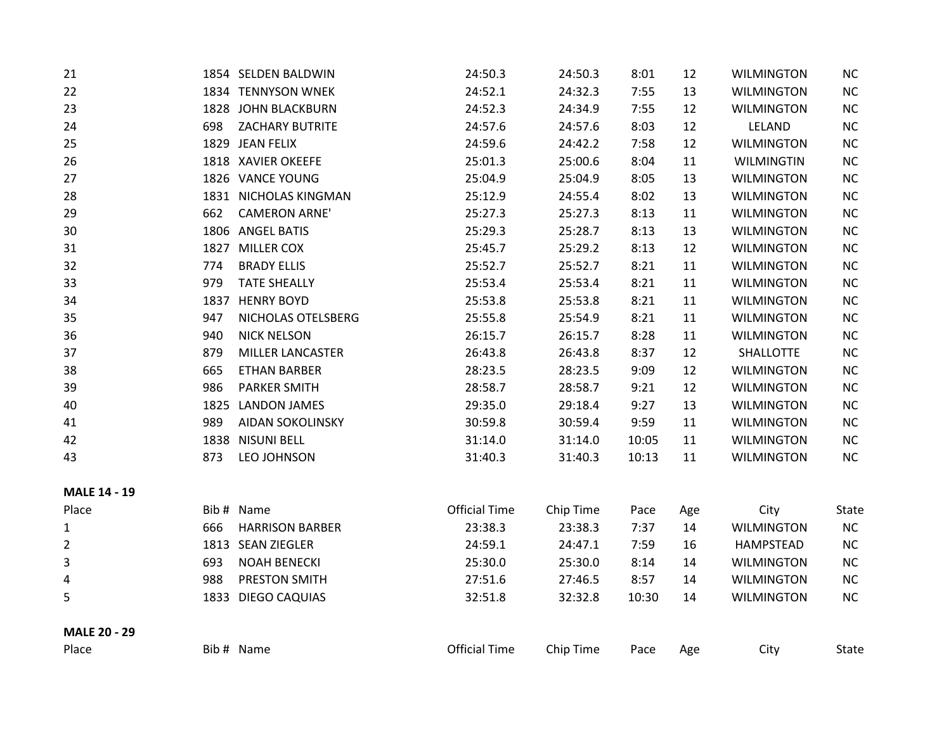| 21                  |      | 1854 SELDEN BALDWIN     | 24:50.3              | 24:50.3   | 8:01  | 12  | <b>WILMINGTON</b> | NC        |
|---------------------|------|-------------------------|----------------------|-----------|-------|-----|-------------------|-----------|
| 22                  |      | 1834 TENNYSON WNEK      | 24:52.1              | 24:32.3   | 7:55  | 13  | <b>WILMINGTON</b> | <b>NC</b> |
| 23                  |      | 1828 JOHN BLACKBURN     | 24:52.3              | 24:34.9   | 7:55  | 12  | <b>WILMINGTON</b> | NC        |
| 24                  | 698  | <b>ZACHARY BUTRITE</b>  | 24:57.6              | 24:57.6   | 8:03  | 12  | LELAND            | NC        |
| 25                  |      | 1829 JEAN FELIX         | 24:59.6              | 24:42.2   | 7:58  | 12  | <b>WILMINGTON</b> | NC        |
| 26                  |      | 1818 XAVIER OKEEFE      | 25:01.3              | 25:00.6   | 8:04  | 11  | <b>WILMINGTIN</b> | NC        |
| 27                  |      | 1826 VANCE YOUNG        | 25:04.9              | 25:04.9   | 8:05  | 13  | <b>WILMINGTON</b> | NC        |
| 28                  |      | 1831 NICHOLAS KINGMAN   | 25:12.9              | 24:55.4   | 8:02  | 13  | <b>WILMINGTON</b> | NC        |
| 29                  | 662  | <b>CAMERON ARNE'</b>    | 25:27.3              | 25:27.3   | 8:13  | 11  | <b>WILMINGTON</b> | $NC$      |
| 30                  |      | 1806 ANGEL BATIS        | 25:29.3              | 25:28.7   | 8:13  | 13  | <b>WILMINGTON</b> | NC        |
| 31                  | 1827 | <b>MILLER COX</b>       | 25:45.7              | 25:29.2   | 8:13  | 12  | <b>WILMINGTON</b> | NC        |
| 32                  | 774  | <b>BRADY ELLIS</b>      | 25:52.7              | 25:52.7   | 8:21  | 11  | <b>WILMINGTON</b> | NC        |
| 33                  | 979  | <b>TATE SHEALLY</b>     | 25:53.4              | 25:53.4   | 8:21  | 11  | <b>WILMINGTON</b> | NC        |
| 34                  | 1837 | <b>HENRY BOYD</b>       | 25:53.8              | 25:53.8   | 8:21  | 11  | <b>WILMINGTON</b> | NC        |
| 35                  | 947  | NICHOLAS OTELSBERG      | 25:55.8              | 25:54.9   | 8:21  | 11  | <b>WILMINGTON</b> | NC        |
| 36                  | 940  | <b>NICK NELSON</b>      | 26:15.7              | 26:15.7   | 8:28  | 11  | <b>WILMINGTON</b> | NC        |
| 37                  | 879  | <b>MILLER LANCASTER</b> | 26:43.8              | 26:43.8   | 8:37  | 12  | SHALLOTTE         | NC        |
| 38                  | 665  | <b>ETHAN BARBER</b>     | 28:23.5              | 28:23.5   | 9:09  | 12  | <b>WILMINGTON</b> | NC        |
| 39                  | 986  | <b>PARKER SMITH</b>     | 28:58.7              | 28:58.7   | 9:21  | 12  | <b>WILMINGTON</b> | $NC$      |
| 40                  |      | 1825 LANDON JAMES       | 29:35.0              | 29:18.4   | 9:27  | 13  | <b>WILMINGTON</b> | NC        |
| 41                  | 989  | <b>AIDAN SOKOLINSKY</b> | 30:59.8              | 30:59.4   | 9:59  | 11  | <b>WILMINGTON</b> | NC        |
| 42                  |      | 1838 NISUNI BELL        | 31:14.0              | 31:14.0   | 10:05 | 11  | <b>WILMINGTON</b> | NC        |
| 43                  | 873  | LEO JOHNSON             | 31:40.3              | 31:40.3   | 10:13 | 11  | <b>WILMINGTON</b> | NC        |
| <b>MALE 14 - 19</b> |      |                         |                      |           |       |     |                   |           |
| Place               |      | Bib # Name              | <b>Official Time</b> | Chip Time | Pace  | Age | City              | State     |
| 1                   | 666  | <b>HARRISON BARBER</b>  | 23:38.3              | 23:38.3   | 7:37  | 14  | <b>WILMINGTON</b> | NC        |
| 2                   |      | 1813 SEAN ZIEGLER       | 24:59.1              | 24:47.1   | 7:59  | 16  | <b>HAMPSTEAD</b>  | NC        |
| 3                   | 693  | <b>NOAH BENECKI</b>     | 25:30.0              | 25:30.0   | 8:14  | 14  | <b>WILMINGTON</b> | NC        |
| 4                   | 988  | PRESTON SMITH           | 27:51.6              | 27:46.5   | 8:57  | 14  | <b>WILMINGTON</b> | NC        |
| 5                   | 1833 | <b>DIEGO CAQUIAS</b>    | 32:51.8              | 32:32.8   | 10:30 | 14  | <b>WILMINGTON</b> | NC        |
| <b>MALE 20 - 29</b> |      |                         |                      |           |       |     |                   |           |
| Place               |      | Bib # Name              | <b>Official Time</b> | Chip Time | Pace  | Age | City              | State     |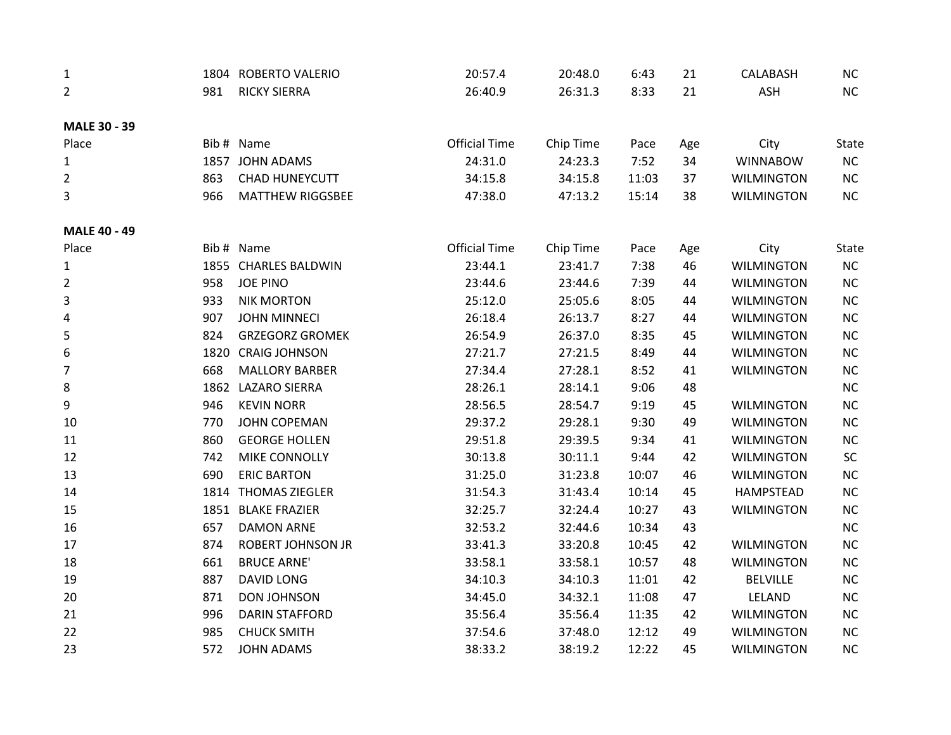| $\mathbf{1}$        |      | 1804 ROBERTO VALERIO     | 20:57.4              | 20:48.0   | 6:43  | 21  | CALABASH          | NC       |
|---------------------|------|--------------------------|----------------------|-----------|-------|-----|-------------------|----------|
| 2                   | 981  | <b>RICKY SIERRA</b>      | 26:40.9              | 26:31.3   | 8:33  | 21  | <b>ASH</b>        | NC       |
| <b>MALE 30 - 39</b> |      |                          |                      |           |       |     |                   |          |
| Place               |      | Bib # Name               | <b>Official Time</b> | Chip Time | Pace  | Age | City              | State    |
| 1                   |      | 1857 JOHN ADAMS          | 24:31.0              | 24:23.3   | 7:52  | 34  | <b>WINNABOW</b>   | NC       |
| 2                   | 863  | <b>CHAD HUNEYCUTT</b>    | 34:15.8              | 34:15.8   | 11:03 | 37  | <b>WILMINGTON</b> | NC       |
| 3                   | 966  | <b>MATTHEW RIGGSBEE</b>  | 47:38.0              | 47:13.2   | 15:14 | 38  | <b>WILMINGTON</b> | NC       |
| <b>MALE 40 - 49</b> |      |                          |                      |           |       |     |                   |          |
| Place               |      | Bib # Name               | <b>Official Time</b> | Chip Time | Pace  | Age | City              | State    |
| $\mathbf{1}$        |      | 1855 CHARLES BALDWIN     | 23:44.1              | 23:41.7   | 7:38  | 46  | <b>WILMINGTON</b> | NC       |
| 2                   | 958  | <b>JOE PINO</b>          | 23:44.6              | 23:44.6   | 7:39  | 44  | <b>WILMINGTON</b> | NC       |
| 3                   | 933  | <b>NIK MORTON</b>        | 25:12.0              | 25:05.6   | 8:05  | 44  | <b>WILMINGTON</b> | NC       |
| 4                   | 907  | <b>JOHN MINNECI</b>      | 26:18.4              | 26:13.7   | 8:27  | 44  | <b>WILMINGTON</b> | NC       |
| 5                   | 824  | <b>GRZEGORZ GROMEK</b>   | 26:54.9              | 26:37.0   | 8:35  | 45  | <b>WILMINGTON</b> | $\sf NC$ |
| 6                   | 1820 | <b>CRAIG JOHNSON</b>     | 27:21.7              | 27:21.5   | 8:49  | 44  | <b>WILMINGTON</b> | $\sf NC$ |
| $\overline{7}$      | 668  | <b>MALLORY BARBER</b>    | 27:34.4              | 27:28.1   | 8:52  | 41  | <b>WILMINGTON</b> | NC       |
| 8                   |      | 1862 LAZARO SIERRA       | 28:26.1              | 28:14.1   | 9:06  | 48  |                   | $\sf NC$ |
| 9                   | 946  | <b>KEVIN NORR</b>        | 28:56.5              | 28:54.7   | 9:19  | 45  | <b>WILMINGTON</b> | $\sf NC$ |
| 10                  | 770  | <b>JOHN COPEMAN</b>      | 29:37.2              | 29:28.1   | 9:30  | 49  | <b>WILMINGTON</b> | NC       |
| $11\,$              | 860  | <b>GEORGE HOLLEN</b>     | 29:51.8              | 29:39.5   | 9:34  | 41  | <b>WILMINGTON</b> | NC       |
| 12                  | 742  | MIKE CONNOLLY            | 30:13.8              | 30:11.1   | 9:44  | 42  | <b>WILMINGTON</b> | SC       |
| 13                  | 690  | <b>ERIC BARTON</b>       | 31:25.0              | 31:23.8   | 10:07 | 46  | <b>WILMINGTON</b> | $\sf NC$ |
| 14                  | 1814 | <b>THOMAS ZIEGLER</b>    | 31:54.3              | 31:43.4   | 10:14 | 45  | HAMPSTEAD         | NC       |
| 15                  |      | 1851 BLAKE FRAZIER       | 32:25.7              | 32:24.4   | 10:27 | 43  | <b>WILMINGTON</b> | NC       |
| 16                  | 657  | <b>DAMON ARNE</b>        | 32:53.2              | 32:44.6   | 10:34 | 43  |                   | NC       |
| 17                  | 874  | <b>ROBERT JOHNSON JR</b> | 33:41.3              | 33:20.8   | 10:45 | 42  | <b>WILMINGTON</b> | NC       |
| 18                  | 661  | <b>BRUCE ARNE'</b>       | 33:58.1              | 33:58.1   | 10:57 | 48  | <b>WILMINGTON</b> | NC       |
| 19                  | 887  | <b>DAVID LONG</b>        | 34:10.3              | 34:10.3   | 11:01 | 42  | <b>BELVILLE</b>   | NC       |
| 20                  | 871  | <b>DON JOHNSON</b>       | 34:45.0              | 34:32.1   | 11:08 | 47  | LELAND            | NC       |
| 21                  | 996  | <b>DARIN STAFFORD</b>    | 35:56.4              | 35:56.4   | 11:35 | 42  | <b>WILMINGTON</b> | NC       |
| 22                  | 985  | <b>CHUCK SMITH</b>       | 37:54.6              | 37:48.0   | 12:12 | 49  | <b>WILMINGTON</b> | NC       |
| 23                  | 572  | <b>JOHN ADAMS</b>        | 38:33.2              | 38:19.2   | 12:22 | 45  | <b>WILMINGTON</b> | NC       |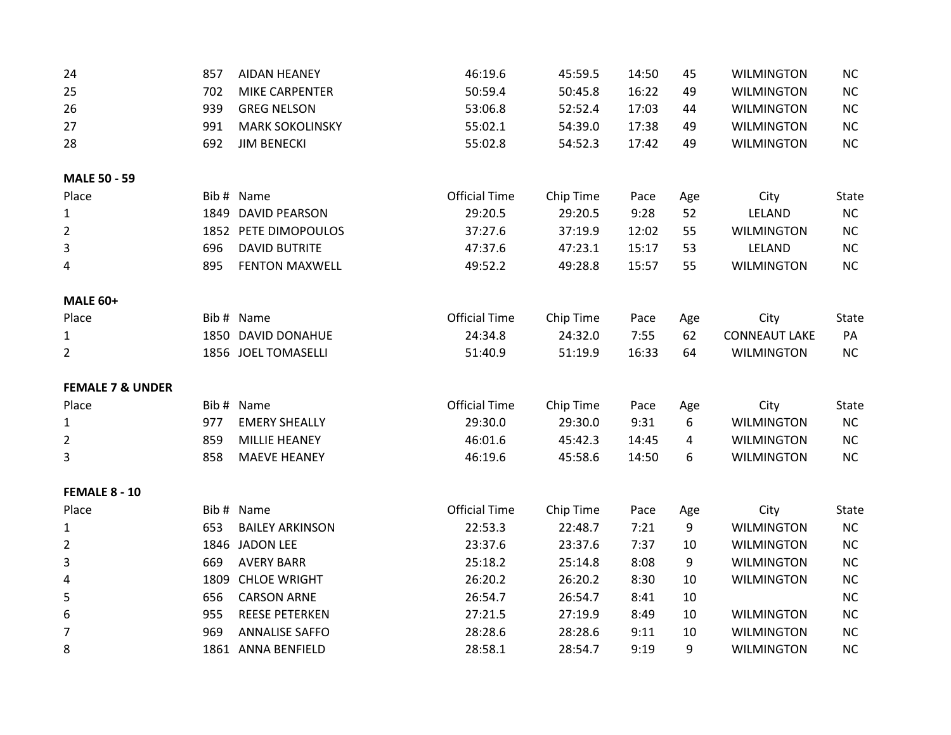| 24                          | 857  | <b>AIDAN HEANEY</b>    | 46:19.6              | 45:59.5   | 14:50 | 45  | <b>WILMINGTON</b>    | NC       |
|-----------------------------|------|------------------------|----------------------|-----------|-------|-----|----------------------|----------|
| 25                          | 702  | MIKE CARPENTER         | 50:59.4              | 50:45.8   | 16:22 | 49  | <b>WILMINGTON</b>    | $\sf NC$ |
| 26                          | 939  | <b>GREG NELSON</b>     | 53:06.8              | 52:52.4   | 17:03 | 44  | <b>WILMINGTON</b>    | $\sf NC$ |
| 27                          | 991  | <b>MARK SOKOLINSKY</b> | 55:02.1              | 54:39.0   | 17:38 | 49  | <b>WILMINGTON</b>    | $\sf NC$ |
| 28                          | 692  | <b>JIM BENECKI</b>     | 55:02.8              | 54:52.3   | 17:42 | 49  | <b>WILMINGTON</b>    | $\sf NC$ |
| <b>MALE 50 - 59</b>         |      |                        |                      |           |       |     |                      |          |
| Place                       |      | Bib # Name             | <b>Official Time</b> | Chip Time | Pace  | Age | City                 | State    |
| $\mathbf{1}$                | 1849 | <b>DAVID PEARSON</b>   | 29:20.5              | 29:20.5   | 9:28  | 52  | LELAND               | NC       |
| $\overline{2}$              |      | 1852 PETE DIMOPOULOS   | 37:27.6              | 37:19.9   | 12:02 | 55  | <b>WILMINGTON</b>    | NC       |
| 3                           | 696  | <b>DAVID BUTRITE</b>   | 47:37.6              | 47:23.1   | 15:17 | 53  | LELAND               | NC       |
| 4                           | 895  | <b>FENTON MAXWELL</b>  | 49:52.2              | 49:28.8   | 15:57 | 55  | <b>WILMINGTON</b>    | NC       |
| <b>MALE 60+</b>             |      |                        |                      |           |       |     |                      |          |
| Place                       |      | Bib # Name             | <b>Official Time</b> | Chip Time | Pace  | Age | City                 | State    |
| $\mathbf{1}$                |      | 1850 DAVID DONAHUE     | 24:34.8              | 24:32.0   | 7:55  | 62  | <b>CONNEAUT LAKE</b> | PA       |
| $\overline{2}$              |      | 1856 JOEL TOMASELLI    | 51:40.9              | 51:19.9   | 16:33 | 64  | <b>WILMINGTON</b>    | NC       |
| <b>FEMALE 7 &amp; UNDER</b> |      |                        |                      |           |       |     |                      |          |
| Place                       |      | Bib # Name             | <b>Official Time</b> | Chip Time | Pace  | Age | City                 | State    |
| $\mathbf{1}$                | 977  | <b>EMERY SHEALLY</b>   | 29:30.0              | 29:30.0   | 9:31  | 6   | <b>WILMINGTON</b>    | $\sf NC$ |
| $\overline{2}$              | 859  | <b>MILLIE HEANEY</b>   | 46:01.6              | 45:42.3   | 14:45 | 4   | <b>WILMINGTON</b>    | $\sf NC$ |
| 3                           | 858  | <b>MAEVE HEANEY</b>    | 46:19.6              | 45:58.6   | 14:50 | 6   | <b>WILMINGTON</b>    | NC       |
| FEMALE 8 - 10               |      |                        |                      |           |       |     |                      |          |
| Place                       |      | Bib # Name             | <b>Official Time</b> | Chip Time | Pace  | Age | City                 | State    |
| $\mathbf{1}$                | 653  | <b>BAILEY ARKINSON</b> | 22:53.3              | 22:48.7   | 7:21  | 9   | <b>WILMINGTON</b>    | $\sf NC$ |
| $\overline{2}$              | 1846 | <b>JADON LEE</b>       | 23:37.6              | 23:37.6   | 7:37  | 10  | <b>WILMINGTON</b>    | $\sf NC$ |
| 3                           | 669  | <b>AVERY BARR</b>      | 25:18.2              | 25:14.8   | 8:08  | 9   | <b>WILMINGTON</b>    | $\sf NC$ |
| 4                           |      | 1809 CHLOE WRIGHT      | 26:20.2              | 26:20.2   | 8:30  | 10  | <b>WILMINGTON</b>    | NC       |
| 5                           | 656  | <b>CARSON ARNE</b>     | 26:54.7              | 26:54.7   | 8:41  | 10  |                      | $\sf NC$ |
| 6                           | 955  | <b>REESE PETERKEN</b>  | 27:21.5              | 27:19.9   | 8:49  | 10  | <b>WILMINGTON</b>    | $\sf NC$ |
| $\overline{7}$              | 969  | <b>ANNALISE SAFFO</b>  | 28:28.6              | 28:28.6   | 9:11  | 10  | <b>WILMINGTON</b>    | NC       |
| 8                           |      | 1861 ANNA BENFIELD     | 28:58.1              | 28:54.7   | 9:19  | 9   | <b>WILMINGTON</b>    | NC       |
|                             |      |                        |                      |           |       |     |                      |          |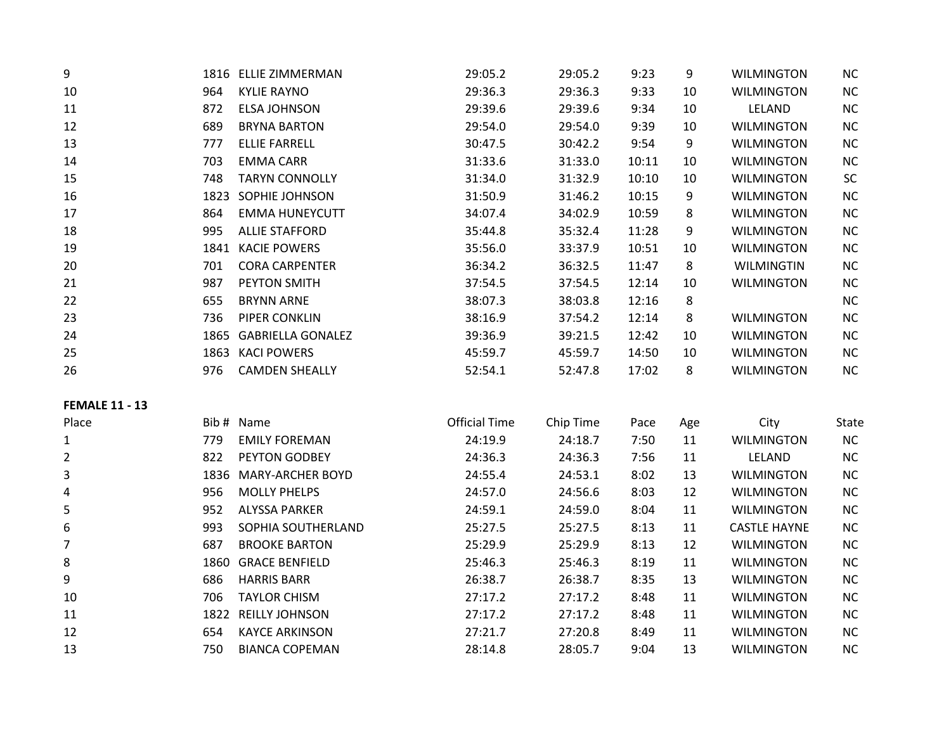| 9  |      | 1816 ELLIE ZIMMERMAN     | 29:05.2 | 29:05.2 | 9:23  | 9  | <b>WILMINGTON</b> | <b>NC</b> |
|----|------|--------------------------|---------|---------|-------|----|-------------------|-----------|
| 10 | 964  | <b>KYLIE RAYNO</b>       | 29:36.3 | 29:36.3 | 9:33  | 10 | <b>WILMINGTON</b> | NC        |
| 11 | 872  | ELSA JOHNSON             | 29:39.6 | 29:39.6 | 9:34  | 10 | LELAND            | <b>NC</b> |
| 12 | 689  | <b>BRYNA BARTON</b>      | 29:54.0 | 29:54.0 | 9:39  | 10 | <b>WILMINGTON</b> | <b>NC</b> |
| 13 | 777  | <b>ELLIE FARRELL</b>     | 30:47.5 | 30:42.2 | 9:54  | 9  | <b>WILMINGTON</b> | <b>NC</b> |
| 14 | 703  | <b>EMMA CARR</b>         | 31:33.6 | 31:33.0 | 10:11 | 10 | <b>WILMINGTON</b> | <b>NC</b> |
| 15 | 748  | <b>TARYN CONNOLLY</b>    | 31:34.0 | 31:32.9 | 10:10 | 10 | <b>WILMINGTON</b> | SC        |
| 16 | 1823 | SOPHIE JOHNSON           | 31:50.9 | 31:46.2 | 10:15 | 9  | <b>WILMINGTON</b> | <b>NC</b> |
| 17 | 864  | <b>EMMA HUNEYCUTT</b>    | 34:07.4 | 34:02.9 | 10:59 | 8  | <b>WILMINGTON</b> | <b>NC</b> |
| 18 | 995  | <b>ALLIE STAFFORD</b>    | 35:44.8 | 35:32.4 | 11:28 | 9  | <b>WILMINGTON</b> | <b>NC</b> |
| 19 | 1841 | <b>KACIE POWERS</b>      | 35:56.0 | 33:37.9 | 10:51 | 10 | <b>WILMINGTON</b> | <b>NC</b> |
| 20 | 701  | <b>CORA CARPENTER</b>    | 36:34.2 | 36:32.5 | 11:47 | 8  | WILMINGTIN        | <b>NC</b> |
| 21 | 987  | <b>PEYTON SMITH</b>      | 37:54.5 | 37:54.5 | 12:14 | 10 | <b>WILMINGTON</b> | <b>NC</b> |
| 22 | 655  | <b>BRYNN ARNE</b>        | 38:07.3 | 38:03.8 | 12:16 | 8  |                   | <b>NC</b> |
| 23 | 736  | PIPER CONKLIN            | 38:16.9 | 37:54.2 | 12:14 | 8  | <b>WILMINGTON</b> | NC        |
| 24 | 1865 | <b>GABRIELLA GONALEZ</b> | 39:36.9 | 39:21.5 | 12:42 | 10 | <b>WILMINGTON</b> | <b>NC</b> |
| 25 | 1863 | <b>KACI POWERS</b>       | 45:59.7 | 45:59.7 | 14:50 | 10 | <b>WILMINGTON</b> | <b>NC</b> |
| 26 | 976  | <b>CAMDEN SHEALLY</b>    | 52:54.1 | 52:47.8 | 17:02 | 8  | <b>WILMINGTON</b> | <b>NC</b> |

## **FEMALE 11 - 13**

| Place          |      | Bib# Name               | <b>Official Time</b> | Chip Time | Pace | Age | City                | <b>State</b> |
|----------------|------|-------------------------|----------------------|-----------|------|-----|---------------------|--------------|
| $\mathbf{1}$   | 779  | <b>EMILY FOREMAN</b>    | 24:19.9              | 24:18.7   | 7:50 | 11  | <b>WILMINGTON</b>   | <b>NC</b>    |
| $\overline{2}$ | 822  | <b>PEYTON GODBEY</b>    | 24:36.3              | 24:36.3   | 7:56 | 11  | LELAND              | <b>NC</b>    |
| 3              | 1836 | <b>MARY-ARCHER BOYD</b> | 24:55.4              | 24:53.1   | 8:02 | 13  | <b>WILMINGTON</b>   | <b>NC</b>    |
| 4              | 956  | <b>MOLLY PHELPS</b>     | 24:57.0              | 24:56.6   | 8:03 | 12  | <b>WILMINGTON</b>   | <b>NC</b>    |
| 5              | 952  | <b>ALYSSA PARKER</b>    | 24:59.1              | 24:59.0   | 8:04 | 11  | <b>WILMINGTON</b>   | <b>NC</b>    |
| 6              | 993  | SOPHIA SOUTHERLAND      | 25:27.5              | 25:27.5   | 8:13 | 11  | <b>CASTLE HAYNE</b> | <b>NC</b>    |
| 7              | 687  | <b>BROOKE BARTON</b>    | 25:29.9              | 25:29.9   | 8:13 | 12  | <b>WILMINGTON</b>   | <b>NC</b>    |
| 8              | 1860 | <b>GRACE BENFIELD</b>   | 25:46.3              | 25:46.3   | 8:19 | 11  | <b>WILMINGTON</b>   | <b>NC</b>    |
| 9              | 686  | <b>HARRIS BARR</b>      | 26:38.7              | 26:38.7   | 8:35 | 13  | <b>WILMINGTON</b>   | <b>NC</b>    |
| 10             | 706  | <b>TAYLOR CHISM</b>     | 27:17.2              | 27:17.2   | 8:48 | 11  | <b>WILMINGTON</b>   | <b>NC</b>    |
| 11             | 1822 | <b>REILLY JOHNSON</b>   | 27:17.2              | 27:17.2   | 8:48 | 11  | <b>WILMINGTON</b>   | <b>NC</b>    |
| 12             | 654  | <b>KAYCE ARKINSON</b>   | 27:21.7              | 27:20.8   | 8:49 | 11  | <b>WILMINGTON</b>   | <b>NC</b>    |
| 13             | 750  | <b>BIANCA COPEMAN</b>   | 28:14.8              | 28:05.7   | 9:04 | 13  | <b>WILMINGTON</b>   | <b>NC</b>    |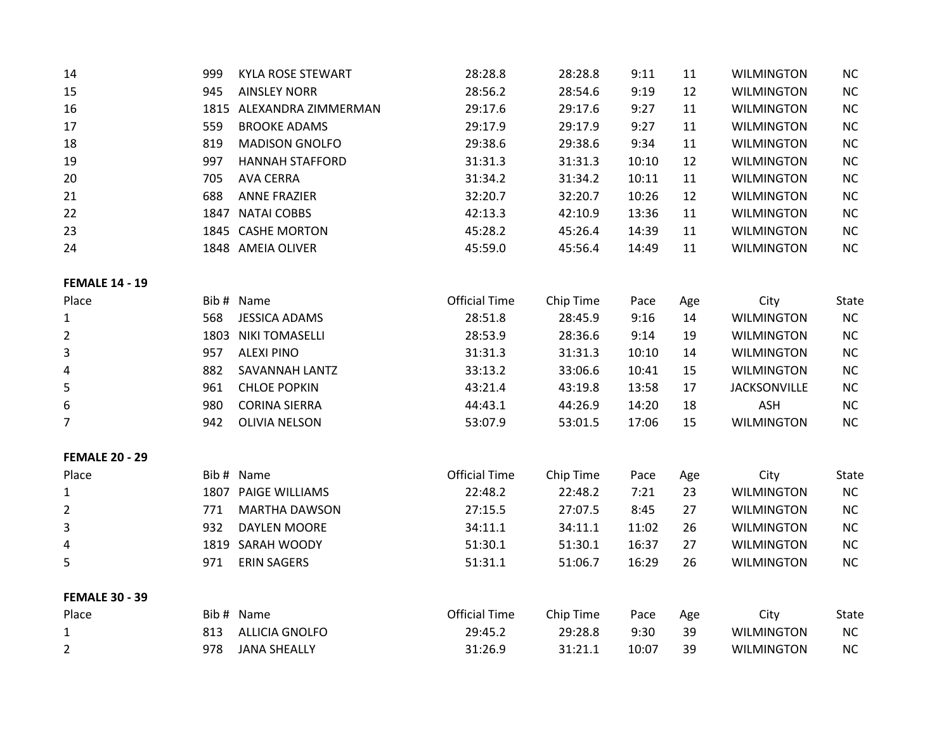| 14                    | 999  | <b>KYLA ROSE STEWART</b> | 28:28.8              | 28:28.8   | 9:11  | 11  | <b>WILMINGTON</b>   | NC           |
|-----------------------|------|--------------------------|----------------------|-----------|-------|-----|---------------------|--------------|
| 15                    | 945  | <b>AINSLEY NORR</b>      | 28:56.2              | 28:54.6   | 9:19  | 12  | <b>WILMINGTON</b>   | $NC$         |
| 16                    |      | 1815 ALEXANDRA ZIMMERMAN | 29:17.6              | 29:17.6   | 9:27  | 11  | <b>WILMINGTON</b>   | $NC$         |
| 17                    | 559  | <b>BROOKE ADAMS</b>      | 29:17.9              | 29:17.9   | 9:27  | 11  | <b>WILMINGTON</b>   | <b>NC</b>    |
| 18                    | 819  | <b>MADISON GNOLFO</b>    | 29:38.6              | 29:38.6   | 9:34  | 11  | <b>WILMINGTON</b>   | <b>NC</b>    |
| 19                    | 997  | <b>HANNAH STAFFORD</b>   | 31:31.3              | 31:31.3   | 10:10 | 12  | <b>WILMINGTON</b>   | <b>NC</b>    |
| 20                    | 705  | <b>AVA CERRA</b>         | 31:34.2              | 31:34.2   | 10:11 | 11  | <b>WILMINGTON</b>   | <b>NC</b>    |
| 21                    | 688  | <b>ANNE FRAZIER</b>      | 32:20.7              | 32:20.7   | 10:26 | 12  | <b>WILMINGTON</b>   | $NC$         |
| 22                    |      | 1847 NATAI COBBS         | 42:13.3              | 42:10.9   | 13:36 | 11  | <b>WILMINGTON</b>   | NC           |
| 23                    |      | 1845 CASHE MORTON        | 45:28.2              | 45:26.4   | 14:39 | 11  | <b>WILMINGTON</b>   | NC           |
| 24                    |      | 1848 AMEIA OLIVER        | 45:59.0              | 45:56.4   | 14:49 | 11  | <b>WILMINGTON</b>   | NC           |
| <b>FEMALE 14 - 19</b> |      |                          |                      |           |       |     |                     |              |
| Place                 |      | Bib # Name               | <b>Official Time</b> | Chip Time | Pace  | Age | City                | State        |
| $\mathbf{1}$          | 568  | <b>JESSICA ADAMS</b>     | 28:51.8              | 28:45.9   | 9:16  | 14  | <b>WILMINGTON</b>   | NC           |
| $\overline{2}$        | 1803 | <b>NIKI TOMASELLI</b>    | 28:53.9              | 28:36.6   | 9:14  | 19  | <b>WILMINGTON</b>   | <b>NC</b>    |
| 3                     | 957  | <b>ALEXI PINO</b>        | 31:31.3              | 31:31.3   | 10:10 | 14  | <b>WILMINGTON</b>   | <b>NC</b>    |
| 4                     | 882  | SAVANNAH LANTZ           | 33:13.2              | 33:06.6   | 10:41 | 15  | <b>WILMINGTON</b>   | $NC$         |
| 5                     | 961  | <b>CHLOE POPKIN</b>      | 43:21.4              | 43:19.8   | 13:58 | 17  | <b>JACKSONVILLE</b> | $NC$         |
| 6                     | 980  | <b>CORINA SIERRA</b>     | 44:43.1              | 44:26.9   | 14:20 | 18  | <b>ASH</b>          | $NC$         |
| 7                     | 942  | <b>OLIVIA NELSON</b>     | 53:07.9              | 53:01.5   | 17:06 | 15  | <b>WILMINGTON</b>   | $NC$         |
| <b>FEMALE 20 - 29</b> |      |                          |                      |           |       |     |                     |              |
| Place                 |      | Bib # Name               | <b>Official Time</b> | Chip Time | Pace  | Age | City                | State        |
| $\mathbf{1}$          |      | 1807 PAIGE WILLIAMS      | 22:48.2              | 22:48.2   | 7:21  | 23  | <b>WILMINGTON</b>   | NC           |
| 2                     | 771  | <b>MARTHA DAWSON</b>     | 27:15.5              | 27:07.5   | 8:45  | 27  | <b>WILMINGTON</b>   | <b>NC</b>    |
| 3                     | 932  | <b>DAYLEN MOORE</b>      | 34:11.1              | 34:11.1   | 11:02 | 26  | <b>WILMINGTON</b>   | $NC$         |
| 4                     |      | 1819 SARAH WOODY         | 51:30.1              | 51:30.1   | 16:37 | 27  | <b>WILMINGTON</b>   | NC           |
| 5                     | 971  | <b>ERIN SAGERS</b>       | 51:31.1              | 51:06.7   | 16:29 | 26  | <b>WILMINGTON</b>   | NC           |
| <b>FEMALE 30 - 39</b> |      |                          |                      |           |       |     |                     |              |
| Place                 |      | Bib # Name               | <b>Official Time</b> | Chip Time | Pace  | Age | City                | <b>State</b> |
| $\mathbf{1}$          | 813  | <b>ALLICIA GNOLFO</b>    | 29:45.2              | 29:28.8   | 9:30  | 39  | <b>WILMINGTON</b>   | NC           |
| $\overline{2}$        | 978  | <b>JANA SHEALLY</b>      | 31:26.9              | 31:21.1   | 10:07 | 39  | <b>WILMINGTON</b>   | NC           |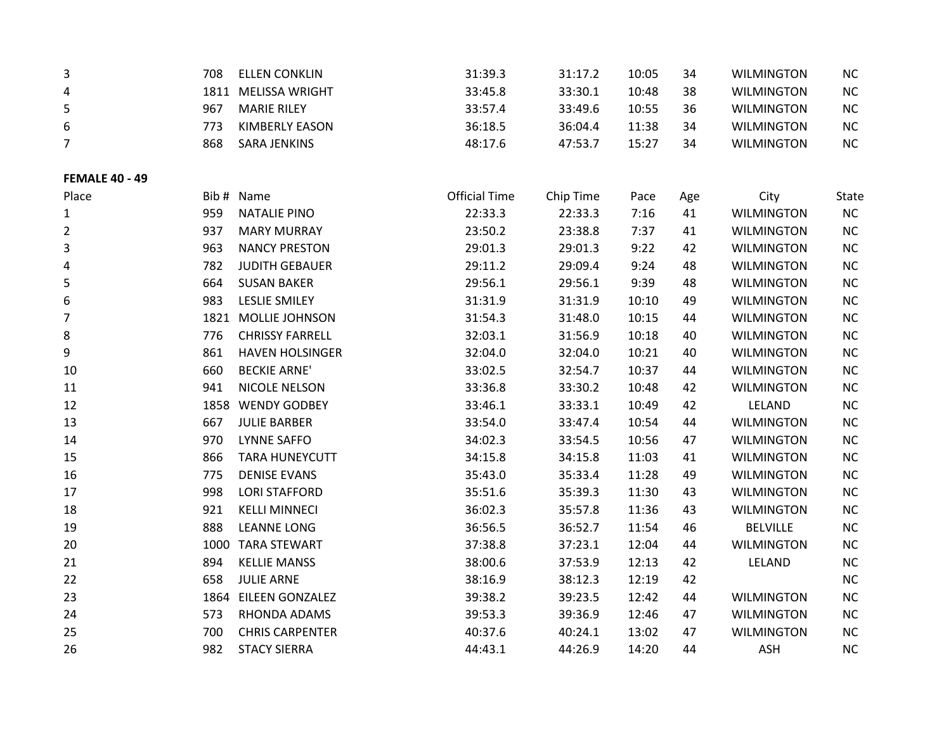| 3                     | 708  | <b>ELLEN CONKLIN</b>   | 31:39.3              | 31:17.2   | 10:05 | 34  | <b>WILMINGTON</b> | NC        |
|-----------------------|------|------------------------|----------------------|-----------|-------|-----|-------------------|-----------|
| 4                     |      | 1811 MELISSA WRIGHT    | 33:45.8              | 33:30.1   | 10:48 | 38  | <b>WILMINGTON</b> | NC        |
| 5                     | 967  | <b>MARIE RILEY</b>     | 33:57.4              | 33:49.6   | 10:55 | 36  | <b>WILMINGTON</b> | NC        |
| 6                     | 773  | <b>KIMBERLY EASON</b>  | 36:18.5              | 36:04.4   | 11:38 | 34  | <b>WILMINGTON</b> | $NC$      |
| 7                     | 868  | <b>SARA JENKINS</b>    | 48:17.6              | 47:53.7   | 15:27 | 34  | <b>WILMINGTON</b> | NC        |
| <b>FEMALE 40 - 49</b> |      |                        |                      |           |       |     |                   |           |
| Place                 |      | Bib # Name             | <b>Official Time</b> | Chip Time | Pace  | Age | City              | State     |
| $\mathbf{1}$          | 959  | <b>NATALIE PINO</b>    | 22:33.3              | 22:33.3   | 7:16  | 41  | <b>WILMINGTON</b> | NC        |
| $\overline{2}$        | 937  | <b>MARY MURRAY</b>     | 23:50.2              | 23:38.8   | 7:37  | 41  | <b>WILMINGTON</b> | $NC$      |
| 3                     | 963  | <b>NANCY PRESTON</b>   | 29:01.3              | 29:01.3   | 9:22  | 42  | <b>WILMINGTON</b> | $NC$      |
| 4                     | 782  | <b>JUDITH GEBAUER</b>  | 29:11.2              | 29:09.4   | 9:24  | 48  | <b>WILMINGTON</b> | NC        |
| 5                     | 664  | <b>SUSAN BAKER</b>     | 29:56.1              | 29:56.1   | 9:39  | 48  | <b>WILMINGTON</b> | $NC$      |
| 6                     | 983  | <b>LESLIE SMILEY</b>   | 31:31.9              | 31:31.9   | 10:10 | 49  | <b>WILMINGTON</b> | <b>NC</b> |
| 7                     | 1821 | <b>MOLLIE JOHNSON</b>  | 31:54.3              | 31:48.0   | 10:15 | 44  | <b>WILMINGTON</b> | <b>NC</b> |
| 8                     | 776  | <b>CHRISSY FARRELL</b> | 32:03.1              | 31:56.9   | 10:18 | 40  | <b>WILMINGTON</b> | <b>NC</b> |
| 9                     | 861  | <b>HAVEN HOLSINGER</b> | 32:04.0              | 32:04.0   | 10:21 | 40  | <b>WILMINGTON</b> | $NC$      |
| 10                    | 660  | <b>BECKIE ARNE'</b>    | 33:02.5              | 32:54.7   | 10:37 | 44  | <b>WILMINGTON</b> | NC        |
| 11                    | 941  | NICOLE NELSON          | 33:36.8              | 33:30.2   | 10:48 | 42  | <b>WILMINGTON</b> | <b>NC</b> |
| 12                    | 1858 | <b>WENDY GODBEY</b>    | 33:46.1              | 33:33.1   | 10:49 | 42  | LELAND            | $NC$      |
| 13                    | 667  | <b>JULIE BARBER</b>    | 33:54.0              | 33:47.4   | 10:54 | 44  | <b>WILMINGTON</b> | $NC$      |
| 14                    | 970  | <b>LYNNE SAFFO</b>     | 34:02.3              | 33:54.5   | 10:56 | 47  | <b>WILMINGTON</b> | NC        |
| 15                    | 866  | <b>TARA HUNEYCUTT</b>  | 34:15.8              | 34:15.8   | 11:03 | 41  | <b>WILMINGTON</b> | $NC$      |
| 16                    | 775  | <b>DENISE EVANS</b>    | 35:43.0              | 35:33.4   | 11:28 | 49  | <b>WILMINGTON</b> | NC        |
| 17                    | 998  | <b>LORI STAFFORD</b>   | 35:51.6              | 35:39.3   | 11:30 | 43  | <b>WILMINGTON</b> | <b>NC</b> |
| 18                    | 921  | <b>KELLI MINNECI</b>   | 36:02.3              | 35:57.8   | 11:36 | 43  | <b>WILMINGTON</b> | <b>NC</b> |
| 19                    | 888  | <b>LEANNE LONG</b>     | 36:56.5              | 36:52.7   | 11:54 | 46  | <b>BELVILLE</b>   | <b>NC</b> |
| 20                    |      | 1000 TARA STEWART      | 37:38.8              | 37:23.1   | 12:04 | 44  | <b>WILMINGTON</b> | $NC$      |
| 21                    | 894  | <b>KELLIE MANSS</b>    | 38:00.6              | 37:53.9   | 12:13 | 42  | LELAND            | $NC$      |
| 22                    | 658  | <b>JULIE ARNE</b>      | 38:16.9              | 38:12.3   | 12:19 | 42  |                   | NC        |
| 23                    |      | 1864 EILEEN GONZALEZ   | 39:38.2              | 39:23.5   | 12:42 | 44  | <b>WILMINGTON</b> | NC        |
| 24                    | 573  | RHONDA ADAMS           | 39:53.3              | 39:36.9   | 12:46 | 47  | <b>WILMINGTON</b> | NC        |
| 25                    | 700  | <b>CHRIS CARPENTER</b> | 40:37.6              | 40:24.1   | 13:02 | 47  | <b>WILMINGTON</b> | NC        |
| 26                    | 982  | <b>STACY SIERRA</b>    | 44:43.1              | 44:26.9   | 14:20 | 44  | <b>ASH</b>        | <b>NC</b> |